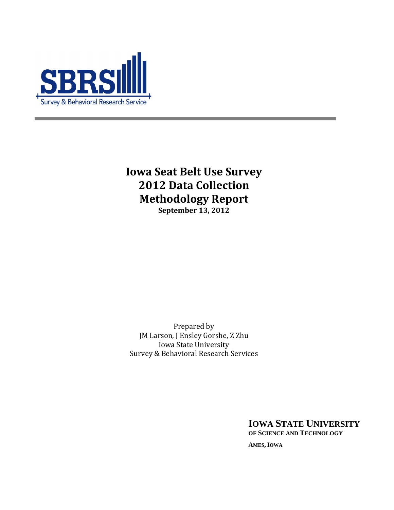

**Iowa Seat Belt Use Survey 2012 Data Collection Methodology Report September 13, 2012**

Prepared by JM Larson, J Ensley Gorshe, Z Zhu Iowa State University Survey & Behavioral Research Services

> **IOWA STATE UNIVERSITY OF SCIENCE AND TECHNOLOGY AMES, IOWA**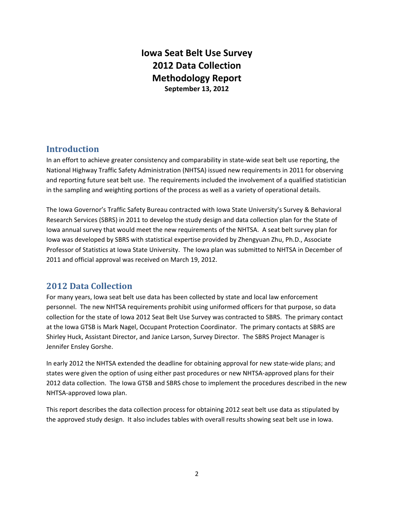# **Iowa Seat Belt Use Survey 2012 Data Collection Methodology Report September 13, 2012**

## **Introduction**

In an effort to achieve greater consistency and comparability in state-wide seat belt use reporting, the National Highway Traffic Safety Administration (NHTSA) issued new requirements in 2011 for observing and reporting future seat belt use. The requirements included the involvement of a qualified statistician in the sampling and weighting portions of the process as well as a variety of operational details.

The Iowa Governor's Traffic Safety Bureau contracted with Iowa State University's Survey & Behavioral Research Services (SBRS) in 2011 to develop the study design and data collection plan for the State of Iowa annual survey that would meet the new requirements of the NHTSA. A seat belt survey plan for Iowa was developed by SBRS with statistical expertise provided by Zhengyuan Zhu, Ph.D., Associate Professor of Statistics at Iowa State University. The Iowa plan was submitted to NHTSA in December of 2011 and official approval was received on March 19, 2012.

## **2012 Data Collection**

For many years, Iowa seat belt use data has been collected by state and local law enforcement personnel. The new NHTSA requirements prohibit using uniformed officers for that purpose, so data collection for the state of Iowa 2012 Seat Belt Use Survey was contracted to SBRS. The primary contact at the Iowa GTSB is Mark Nagel, Occupant Protection Coordinator. The primary contacts at SBRS are Shirley Huck, Assistant Director, and Janice Larson, Survey Director. The SBRS Project Manager is Jennifer Ensley Gorshe.

In early 2012 the NHTSA extended the deadline for obtaining approval for new state‐wide plans; and states were given the option of using either past procedures or new NHTSA‐approved plans for their 2012 data collection. The Iowa GTSB and SBRS chose to implement the procedures described in the new NHTSA‐approved Iowa plan.

This report describes the data collection process for obtaining 2012 seat belt use data as stipulated by the approved study design. It also includes tables with overall results showing seat belt use in Iowa.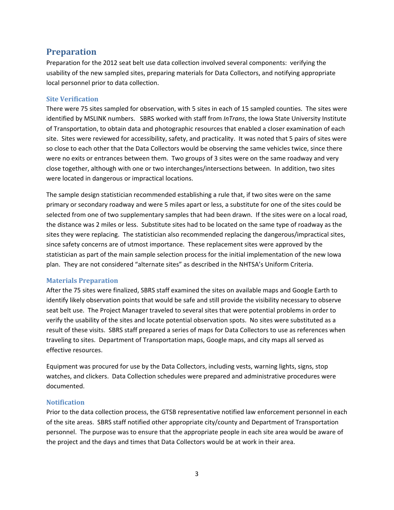### **Preparation**

Preparation for the 2012 seat belt use data collection involved several components: verifying the usability of the new sampled sites, preparing materials for Data Collectors, and notifying appropriate local personnel prior to data collection.

### **Site Verification**

There were 75 sites sampled for observation, with 5 sites in each of 15 sampled counties. The sites were identified by MSLINK numbers. SBRS worked with staff from *InTrans*, the Iowa State University Institute of Transportation, to obtain data and photographic resources that enabled a closer examination of each site. Sites were reviewed for accessibility, safety, and practicality. It was noted that 5 pairs of sites were so close to each other that the Data Collectors would be observing the same vehicles twice, since there were no exits or entrances between them. Two groups of 3 sites were on the same roadway and very close together, although with one or two interchanges/intersections between. In addition, two sites were located in dangerous or impractical locations.

The sample design statistician recommended establishing a rule that, if two sites were on the same primary or secondary roadway and were 5 miles apart or less, a substitute for one of the sites could be selected from one of two supplementary samples that had been drawn. If the sites were on a local road, the distance was 2 miles or less. Substitute sites had to be located on the same type of roadway as the sites they were replacing. The statistician also recommended replacing the dangerous/impractical sites, since safety concerns are of utmost importance. These replacement sites were approved by the statistician as part of the main sample selection process for the initial implementation of the new Iowa plan. They are not considered "alternate sites" as described in the NHTSA's Uniform Criteria.

### **Materials Preparation**

After the 75 sites were finalized, SBRS staff examined the sites on available maps and Google Earth to identify likely observation points that would be safe and still provide the visibility necessary to observe seat belt use. The Project Manager traveled to several sites that were potential problems in order to verify the usability of the sites and locate potential observation spots. No sites were substituted as a result of these visits. SBRS staff prepared a series of maps for Data Collectors to use as references when traveling to sites. Department of Transportation maps, Google maps, and city maps all served as effective resources.

Equipment was procured for use by the Data Collectors, including vests, warning lights, signs, stop watches, and clickers. Data Collection schedules were prepared and administrative procedures were documented.

### **Notification**

Prior to the data collection process, the GTSB representative notified law enforcement personnel in each of the site areas. SBRS staff notified other appropriate city/county and Department of Transportation personnel. The purpose was to ensure that the appropriate people in each site area would be aware of the project and the days and times that Data Collectors would be at work in their area.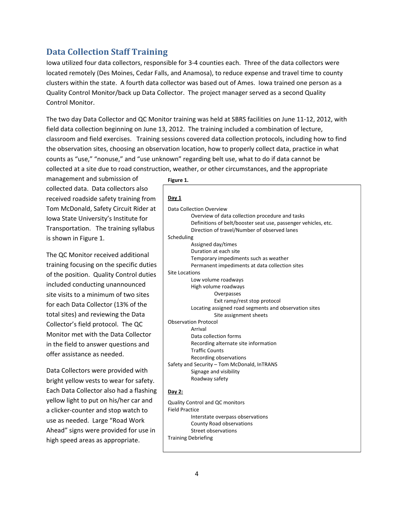## **Data Collection Staff Training**

Iowa utilized four data collectors, responsible for 3‐4 counties each. Three of the data collectors were located remotely (Des Moines, Cedar Falls, and Anamosa), to reduce expense and travel time to county clusters within the state. A fourth data collector was based out of Ames. Iowa trained one person as a Quality Control Monitor/back up Data Collector. The project manager served as a second Quality Control Monitor.

The two day Data Collector and QC Monitor training was held at SBRS facilities on June 11‐12, 2012, with field data collection beginning on June 13, 2012. The training included a combination of lecture, classroom and field exercises. Training sessions covered data collection protocols, including how to find the observation sites, choosing an observation location, how to properly collect data, practice in what counts as "use," "nonuse," and "use unknown" regarding belt use, what to do if data cannot be collected at a site due to road construction, weather, or other circumstances, and the appropriate

management and submission of collected data. Data collectors also received roadside safety training from Tom McDonald, Safety Circuit Rider at Iowa State University's Institute for Transportation. The training syllabus is shown in Figure 1.

The QC Monitor received additional training focusing on the specific duties of the position. Quality Control duties included conducting unannounced site visits to a minimum of two sites for each Data Collector (13% of the total sites) and reviewing the Data Collector's field protocol. The QC Monitor met with the Data Collector in the field to answer questions and offer assistance as needed.

Data Collectors were provided with bright yellow vests to wear for safety. Each Data Collector also had a flashing yellow light to put on his/her car and a clicker‐counter and stop watch to use as needed. Large "Road Work Ahead" signs were provided for use in high speed areas as appropriate.

**Figure 1.**

| Day 1                                                                 |
|-----------------------------------------------------------------------|
| Data Collection Overview                                              |
| Overview of data collection procedure and tasks                       |
| Definitions of belt/booster seat use, passenger vehicles, etc.        |
| Direction of travel/Number of observed lanes                          |
| Scheduling                                                            |
| Assigned day/times                                                    |
| Duration at each site                                                 |
| Temporary impediments such as weather                                 |
| Permanent impediments at data collection sites                        |
| <b>Site Locations</b>                                                 |
| Low volume roadways                                                   |
| High volume roadways                                                  |
| Overpasses                                                            |
| Exit ramp/rest stop protocol                                          |
| Locating assigned road segments and observation sites                 |
| Site assignment sheets                                                |
| <b>Observation Protocol</b>                                           |
| Arrival                                                               |
| Data collection forms                                                 |
| Recording alternate site information<br><b>Traffic Counts</b>         |
|                                                                       |
| Recording observations                                                |
| Safety and Security - Tom McDonald, InTRANS<br>Signage and visibility |
| Roadway safety                                                        |
|                                                                       |
| Day 2:                                                                |
| Quality Control and QC monitors                                       |
| <b>Field Practice</b>                                                 |
| Interstate overpass observations                                      |
| <b>County Road observations</b>                                       |
| <b>Street observations</b>                                            |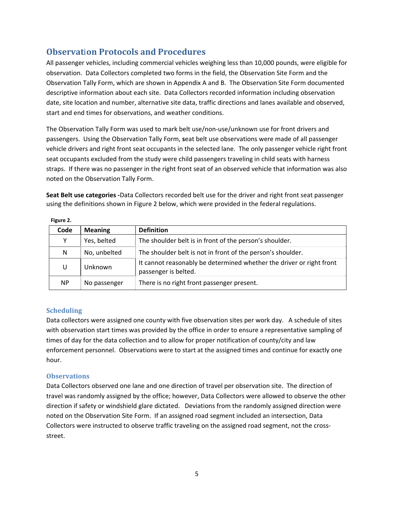## **Observat**i**on Protocols and Procedures**

All passenger vehicles, including commercial vehicles weighing less than 10,000 pounds, were eligible for observation. Data Collectors completed two forms in the field, the Observation Site Form and the Observation Tally Form, which are shown in Appendix A and B. The Observation Site Form documented descriptive information about each site. Data Collectors recorded information including observation date, site location and number, alternative site data, traffic directions and lanes available and observed, start and end times for observations, and weather conditions.

The Observation Tally Form was used to mark belt use/non‐use/unknown use for front drivers and passengers. Using the Observation Tally Form, **s**eat belt use observations were made of all passenger vehicle drivers and right front seat occupants in the selected lane. The only passenger vehicle right front seat occupants excluded from the study were child passengers traveling in child seats with harness straps. If there was no passenger in the right front seat of an observed vehicle that information was also noted on the Observation Tally Form.

**Seat Belt use categories ‐**Data Collectors recorded belt use for the driver and right front seat passenger using the definitions shown in Figure 2 below, which were provided in the federal regulations.

| .         |                |                                                                                              |
|-----------|----------------|----------------------------------------------------------------------------------------------|
| Code      | <b>Meaning</b> | <b>Definition</b>                                                                            |
| Y         | Yes, belted    | The shoulder belt is in front of the person's shoulder.                                      |
| N         | No, unbelted   | The shoulder belt is not in front of the person's shoulder.                                  |
| U         | Unknown        | It cannot reasonably be determined whether the driver or right front<br>passenger is belted. |
| <b>NP</b> | No passenger   | There is no right front passenger present.                                                   |

**Figure 2.**

### **Scheduling**

Data collectors were assigned one county with five observation sites per work day. A schedule of sites with observation start times was provided by the office in order to ensure a representative sampling of times of day for the data collection and to allow for proper notification of county/city and law enforcement personnel. Observations were to start at the assigned times and continue for exactly one hour.

### **Observations**

Data Collectors observed one lane and one direction of travel per observation site. The direction of travel was randomly assigned by the office; however, Data Collectors were allowed to observe the other direction if safety or windshield glare dictated. Deviations from the randomly assigned direction were noted on the Observation Site Form. If an assigned road segment included an intersection, Data Collectors were instructed to observe traffic traveling on the assigned road segment, not the cross‐ street.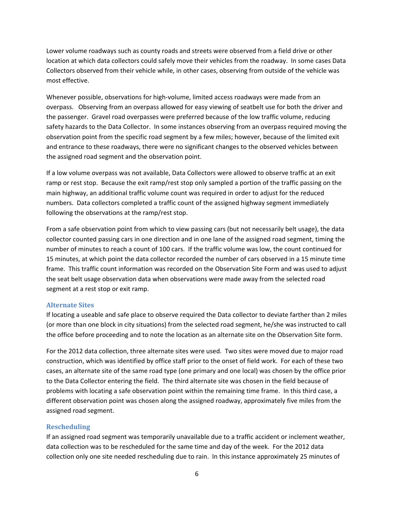Lower volume roadways such as county roads and streets were observed from a field drive or other location at which data collectors could safely move their vehicles from the roadway. In some cases Data Collectors observed from their vehicle while, in other cases, observing from outside of the vehicle was most effective.

Whenever possible, observations for high‐volume, limited access roadways were made from an overpass. Observing from an overpass allowed for easy viewing of seatbelt use for both the driver and the passenger. Gravel road overpasses were preferred because of the low traffic volume, reducing safety hazards to the Data Collector. In some instances observing from an overpass required moving the observation point from the specific road segment by a few miles; however, because of the limited exit and entrance to these roadways, there were no significant changes to the observed vehicles between the assigned road segment and the observation point.

If a low volume overpass was not available, Data Collectors were allowed to observe traffic at an exit ramp or rest stop. Because the exit ramp/rest stop only sampled a portion of the traffic passing on the main highway, an additional traffic volume count was required in order to adjust for the reduced numbers. Data collectors completed a traffic count of the assigned highway segment immediately following the observations at the ramp/rest stop.

From a safe observation point from which to view passing cars (but not necessarily belt usage), the data collector counted passing cars in one direction and in one lane of the assigned road segment, timing the number of minutes to reach a count of 100 cars. If the traffic volume was low, the count continued for 15 minutes, at which point the data collector recorded the number of cars observed in a 15 minute time frame. This traffic count information was recorded on the Observation Site Form and was used to adjust the seat belt usage observation data when observations were made away from the selected road segment at a rest stop or exit ramp.

#### **Alternate Sites**

If locating a useable and safe place to observe required the Data collector to deviate farther than 2 miles (or more than one block in city situations) from the selected road segment, he/she was instructed to call the office before proceeding and to note the location as an alternate site on the Observation Site form.

For the 2012 data collection, three alternate sites were used. Two sites were moved due to major road construction, which was identified by office staff prior to the onset of field work. For each of these two cases, an alternate site of the same road type (one primary and one local) was chosen by the office prior to the Data Collector entering the field. The third alternate site was chosen in the field because of problems with locating a safe observation point within the remaining time frame. In this third case, a different observation point was chosen along the assigned roadway, approximately five miles from the assigned road segment.

### **Rescheduling**

If an assigned road segment was temporarily unavailable due to a traffic accident or inclement weather, data collection was to be rescheduled for the same time and day of the week. For the 2012 data collection only one site needed rescheduling due to rain. In this instance approximately 25 minutes of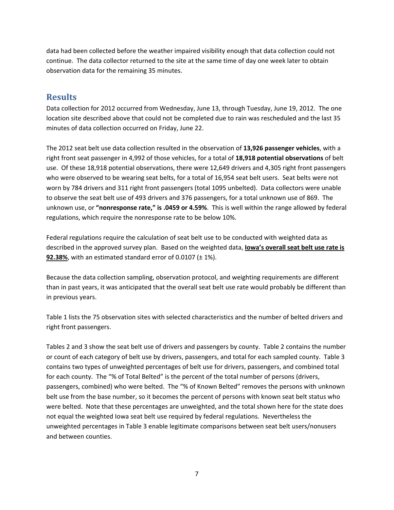data had been collected before the weather impaired visibility enough that data collection could not continue. The data collector returned to the site at the same time of day one week later to obtain observation data for the remaining 35 minutes.

### **Results**

Data collection for 2012 occurred from Wednesday, June 13, through Tuesday, June 19, 2012. The one location site described above that could not be completed due to rain was rescheduled and the last 35 minutes of data collection occurred on Friday, June 22.

The 2012 seat belt use data collection resulted in the observation of **13,926 passenger vehicles**, with a right front seat passenger in 4,992 of those vehicles, for a total of **18,918 potential observations** of belt use. Of these 18,918 potential observations, there were 12,649 drivers and 4,305 right front passengers who were observed to be wearing seat belts, for a total of 16,954 seat belt users. Seat belts were not worn by 784 drivers and 311 right front passengers (total 1095 unbelted). Data collectors were unable to observe the seat belt use of 493 drivers and 376 passengers, for a total unknown use of 869. The unknown use, or **"nonresponse rate," is .0459 or 4.59%**. This is well within the range allowed by federal regulations, which require the nonresponse rate to be below 10%.

Federal regulations require the calculation of seat belt use to be conducted with weighted data as described in the approved survey plan. Based on the weighted data, **Iowa's overall seat belt use rate is 92.38%**, with an estimated standard error of 0.0107 (± 1%).

Because the data collection sampling, observation protocol, and weighting requirements are different than in past years, it was anticipated that the overall seat belt use rate would probably be different than in previous years.

Table 1 lists the 75 observation sites with selected characteristics and the number of belted drivers and right front passengers.

Tables 2 and 3 show the seat belt use of drivers and passengers by county. Table 2 contains the number or count of each category of belt use by drivers, passengers, and total for each sampled county. Table 3 contains two types of unweighted percentages of belt use for drivers, passengers, and combined total for each county. The "% of Total Belted" is the percent of the total number of persons (drivers, passengers, combined) who were belted. The "% of Known Belted" removes the persons with unknown belt use from the base number, so it becomes the percent of persons with known seat belt status who were belted. Note that these percentages are unweighted, and the total shown here for the state does not equal the weighted Iowa seat belt use required by federal regulations. Nevertheless the unweighted percentages in Table 3 enable legitimate comparisons between seat belt users/nonusers and between counties.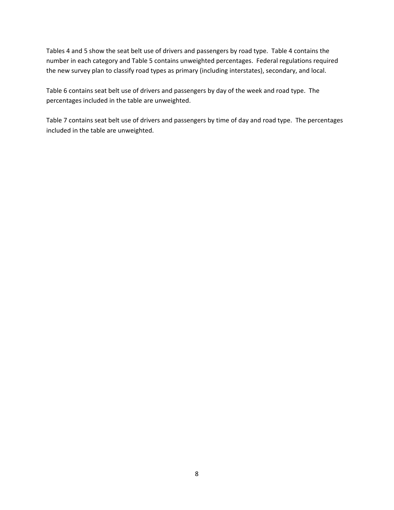Tables 4 and 5 show the seat belt use of drivers and passengers by road type. Table 4 contains the number in each category and Table 5 contains unweighted percentages. Federal regulations required the new survey plan to classify road types as primary (including interstates), secondary, and local.

Table 6 contains seat belt use of drivers and passengers by day of the week and road type. The percentages included in the table are unweighted.

Table 7 contains seat belt use of drivers and passengers by time of day and road type. The percentages included in the table are unweighted.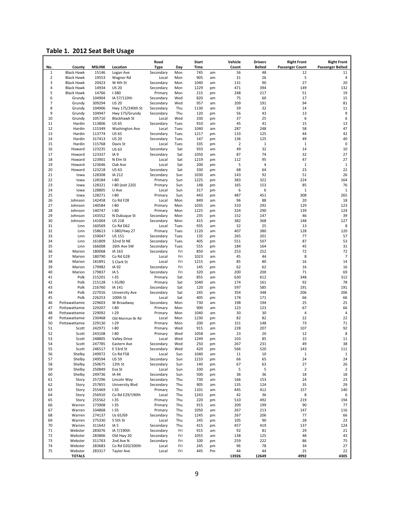| Table 1. 2012 Seat Belt Usage |  |  |  |  |
|-------------------------------|--|--|--|--|
|-------------------------------|--|--|--|--|

|                |                             |                        |                              | Road                     |              | Start              |          | Vehicle        | <b>Drivers</b>      | <b>Right Front</b>           | <b>Right Front</b>      |
|----------------|-----------------------------|------------------------|------------------------------|--------------------------|--------------|--------------------|----------|----------------|---------------------|------------------------------|-------------------------|
| No.<br>1       | County<br><b>Black Hawk</b> | <b>MSLINK</b><br>15146 | Location<br>Logan Ave        | <b>Type</b><br>Secondary | Day<br>Mon   | <b>Time</b><br>745 |          | Count<br>56    | <b>Belted</b><br>48 | <b>Passenger Count</b><br>12 | <b>Passenger Belted</b> |
| $\overline{2}$ | <b>Black Hawk</b>           | 19553                  | Wagner Rd                    | Local                    | Mon          | 905                | am<br>am | 31             | 26                  | 5                            | 11<br>4                 |
| 3              | <b>Black Hawk</b>           | 20423                  | W 4th St                     | Secondary                | Mon          | 1040               | am       | 131            | 90                  | 27                           | 20                      |
| 4              | <b>Black Hawk</b>           | 14934                  | <b>US 20</b>                 | Secondary                | Mon          | 1229               | pm       | 471            | 394                 | 149                          | 132                     |
| 5              | <b>Black Hawk</b>           | 14766                  | $I - 380$                    | Primary                  | Mon          | 215                | pm       | 248            | 217                 | 51                           | 19                      |
| 6              | Grundy                      | 104904                 | IA 57/110th                  | Secondary                | Wed          | 820                | am       | 75             | 60                  | 17                           | 15                      |
| 7              | Grundy                      | 309294                 | <b>US 20</b>                 | Secondary                | Wed          | 957                | am       | 209            | 191                 | 94                           | 81                      |
| 8              | Grundy                      | 104906                 | Hwy 17S/240th St             | Secondary                | Thu          | 1130               | am       | 39             | 32                  | 14                           | 11                      |
| 9              | Grundy                      | 104947                 | Hwy 17S/Grundy               | Secondary                | Thu          | 120                | pm       | 56             | 43                  | 13                           | 9                       |
| 10             | Grundy                      | 105710                 | <b>Blackhawk St</b>          | Local                    | Wed          | 330                | pm       | 37             | 25                  | 6                            | 6                       |
| 11             | Hardin                      | 113806                 | <b>US 65</b>                 | Secondary                | Tues         | 910                | am       | 45             | 41                  | 15                           | 13                      |
| 12             | Hardin                      | 115349                 | <b>Washington Ave</b>        | Local                    | Tues         | 1040               | am       | 287            | 248                 | 58                           | 47                      |
| 13<br>14       | Hardin<br>Hardin            | 113774<br>317413       | <b>US 65</b><br><b>US 20</b> | Secondary<br>Secondary   | Tues<br>Tues | 1217<br>147        | pm<br>pm | 133<br>136     | 125<br>125          | 44<br>49                     | 42<br>40                |
| 15             | Hardin                      | 115768                 | Davis St                     | Local                    | Tues         | 335                | pm       | $\overline{2}$ | 1                   | $\mathbf{1}$                 | $\mathbf 0$             |
| 16             | Howard                      | 123235                 | <b>US 63</b>                 | Secondary                | Sat          | 933                | am       | 49             | 32                  | 14                           | 10                      |
| 17             | Howard                      | 123337                 | IA <sub>9</sub>              | Secondary                | Sat          | 1050               | am       | 87             | 74                  | 32                           | 27                      |
| 18             | Howard                      | 123901                 | N Elm St                     | Local                    | Sat          | 1219               | pm       | 112            | 95                  | 47                           | 27                      |
| 19             | Howard                      | 123646                 | Oak Ave                      | Local                    | Sat          | 200                | pm       | 5              | 4                   | $\mathbf{1}$                 | $\mathbf{1}$            |
| 20             | Howard                      | 123218                 | <b>US 63</b>                 | Secondary                | Sat          | 330                | pm       | 68             | 64                  | 23                           | 22                      |
| 21             | lowa                        | 128308                 | IA 212                       | Secondary                | Sun          | 1030               | am       | 143            | 92                  | 51                           | 26                      |
| 22             | lowa                        | 128184                 | $I-80$                       | Primary                  | Sun          | 1225               | pm       | 383            | 322                 | 224                          | 164                     |
| 23             | lowa                        | 128321                 | I-80 (exit 220)              | Primary                  | Sun          | 148                | pm       | 165            | 153                 | 85                           | 76                      |
| 24             | lowa                        | 128805                 | U Ave                        | Local                    | Sun          | 317                | pm       | 6              | 6                   | $\mathbf{1}$                 | $\mathbf{1}$            |
| 25             | lowa                        | 128271                 | $I-80$                       | Primary                  | Sun          | 443                | pm       | 487            | 451                 | 308                          | 265                     |
| 26             | Johnson                     | 142458                 | Co Rd F28                    | Local                    | Mon          | 849                | am       | 96             | 88                  | 20                           | 18                      |
| 27             | Johnson<br>Johnson          | 140584                 | $I-80$<br>$I-80$             | Primary                  | Mon          | 1035               | am       | 310            | 292<br>290          | 129<br>139                   | 123                     |
| 28<br>29       | Johnson                     | 140747<br>143552       | N Dubuque St                 | Primary<br>Secondary     | Mon<br>Mon   | 1225<br>235        | pm<br>pm | 324<br>152     | 147                 | 46                           | 124<br>39               |
| 30             | Johnson                     | 141004                 | <b>US 218</b>                | Secondary                | Mon          | 415                | pm       | 382            | 368                 | 148                          | 127                     |
| 31             | Linn                        | 160569                 | Co Rd D62                    | Local                    | Tues         | 935                | am       | 32             | 25                  | 13                           | 8                       |
| 32             | Linn                        | 158613                 | I-380/Hwy 27                 | Primary                  | Tues         | 1120               | am       | 407            | 380                 | 128                          | 120                     |
| 33             | Linn                        | 159047                 | <b>US 151</b>                | Secondary                | Tues         | 135                | pm       | 265            | 201                 | 77                           | 57                      |
| 34             | Linn                        | 161809                 | 32nd St NE                   | Secondary                | Tues         | 405                | pm       | 551            | 507                 | 87                           | 53                      |
| 35             | Linn                        | 166008                 | 16th Ave SW                  | Secondary                | Tues         | 555                | pm       | 184            | 164                 | 45                           | 31                      |
| 36             | Marion                      | 180068                 | IA 163                       | Secondary                | Fri          | 850                | am       | 253            | 252                 | 72                           | 72                      |
| 37             | Marion                      | 180790                 | Co Rd G28                    | Local                    | Fri          | 1023               | am       | 45             | 44                  | 8                            | 7                       |
| 38             | Marion                      | 181891                 | S Clark St                   | Local                    | Fri          | 1215               | pm       | 85             | 80                  | 16                           | 14                      |
| 39             | Marion                      | 179982                 | IA 92                        | Secondary                | Fri          | 145                | pm       | 62             | 62                  | 16                           | 16                      |
| 40             | Marion                      | 179837                 | IA <sub>5</sub>              | Secondary                | Fri          | 320                | pm       | 200            | 200                 | 71                           | 69                      |
| 41             | Polk                        | 215201                 | $1 - 35$                     | Primary                  | Sat          | 855                | am       | 630            | 612                 | 348                          | 312                     |
| 42<br>43       | Polk                        | 215128                 | $1-35/80$<br>IA 141          | Primary                  | Sat          | 1040               | am       | 174<br>597     | 161                 | 92<br>191                    | 78<br>191               |
| 44             | Polk<br>Polk                | 216760<br>227016       |                              | Secondary<br>Secondary   | Sat<br>Sat   | 120<br>245         | pm<br>pm | 354            | 585<br>348          | 206                          | 206                     |
| 45             | Polk                        | 226253                 | University Ave<br>100th St   | Local                    | Sat          | 405                | pm       | 174            | 171                 | 66                           | 66                      |
| 46             | Pottawattamie               | 229603                 | W Broadway                   | Secondary                | Mon          | 730                | am       | 198            | 194                 | 25                           | 25                      |
| 47             | Pottawattamie               | 229207                 | $1 - 80$                     | Primary                  | Mon          | 900                | am       | 123            | 123                 | 67                           | 66                      |
| 48             | Pottawattamie               | 229092                 | $I-29$                       | Primary                  | Mon          | 1040               | am       | 30             | 30                  | $\overline{4}$               | 4                       |
| 49             | Pottawattamie               | 230468                 | Old Morman Br Rd             | Local                    | Mon          | 1230               | pm       | 82             | 82                  | 22                           | 22                      |
| 50             | Pottawattamie               | 229130                 | $1 - 29$                     | Primary                  | Mon          | 200                | pm       | 151            | 148                 | 73                           | 71                      |
| 51             | Scott                       | 242971                 | $I-80$                       | Primary                  | Wed          | 915                | am       | 228            | 207                 | 107                          | 92                      |
| 52             | Scott                       | 243108                 | $I-80$                       | Primary                  | Wed          | 1058               | am       | 23             | 20                  | 12                           | 8                       |
| 53             | Scott                       | 248805                 | <b>Valley Drive</b>          | Local                    | Wed          | 1249               | pm       | 103            | 85                  | 15                           | 11                      |
| 54             | Scott                       | 247785                 | Eastern Ave                  | Secondary                | Wed          | 250                | pm       | 267            | 231                 | 49                           | 38                      |
| 55             | Scott                       | 246517                 | E 53rd St                    | Secondary                | Wed          | 420                | pm       | 566            | 520                 | 143                          | 111                     |
| 56             | Shelby                      | 249972                 | Co Rd F58                    | Local                    | Sun          | 1040               | am       | 11             | $10\,$              | $1\,$                        | $\mathbf 1$             |
| 57             | Shelby                      | 249594                 | <b>US 59</b>                 | Secondary                | Sun          | 1210               | pm       | 66             | 65                  | 24                           | 24                      |
| 58<br>59       | Shelby<br>Shelby            | 250675<br>250849       | 12th St<br>Eva St            | Secondary<br>Local       | Sun<br>Sun   | 140<br>330         | pm       | 67<br>5        | 63<br>5             | 27<br>$\overline{2}$         | 26<br>$\overline{2}$    |
| 60             | Shelby                      | 249736                 | IA 44                        | Secondary                | Sun          | 500                | pm<br>pm | 36             | 36                  | 18                           | 18                      |
| 61             | Story                       | 257296                 | Lincoln Way                  | Secondary                | Thu          | 730                | am       | 166            | 153                 | 24                           | 23                      |
| 62             | Story                       | 257855                 | <b>University Blvd</b>       | Secondary                | Thu          | 905                | am       | 135            | 124                 | 35                           | 29                      |
| 63             | Story                       | 255469                 | $1 - 35$                     | Primary                  | Thu          | 1101               | am       | 445            | 412                 | 157                          | 140                     |
| 64             | Story                       | 256910                 | Co Rd E29/190th              | Local                    | Thu          | 1243               | pm       | 42             | 36                  | 8                            | 6                       |
| 65             | Story                       | 255562                 | $1 - 35$                     | Primary                  | Thu          | 220                | pm       | 510            | 492                 | 219                          | 194                     |
| 66             | Warren                      | 273908                 | $1 - 35$                     | Primary                  | Thu          | 915                | am       | 209            | 199                 | 90                           | 77                      |
| 67             | Warren                      | 334868                 | $1 - 35$                     | Primary                  | Thu          | 1050               | am       | 267            | 213                 | 147                          | 116                     |
| 68             | Warren                      | 274137                 | Us 65/69                     | Secondary                | Thu          | 1245               | pm       | 267            | 206                 | 77                           | 66                      |
| 69             | Warren                      | 275330                 | S 5th St                     | Local                    | Thu          | 245                | pm       | 105            | 90                  | 28                           | 23                      |
| 70             | Warren                      | 311642                 | IA <sub>5</sub>              | Secondary                | Thu          | 415                | pm       | 457            | 419                 | 137                          | 124                     |
| 71             | Webster                     | 283076                 | IA 7/190th                   | Secondary                | Fri          | 915                | am       | 92             | 81                  | 29                           | 21                      |
| 72             | Webster                     | 283806                 | Old Hwy 20                   | Secondary                | Fri          | 1055               | am       | 138            | 125                 | 48                           | 43                      |
| 73<br>74       | Webster<br>Webster          | 311763                 | 2nd Ave N<br>Co Rd D20/200th | Secondary                | Fri          | 100<br>245         | pm       | 259<br>96      | 222<br>78           | 86<br>34                     | 75<br>27                |
| 75             | Webster                     | 283683<br>283317       | Taylor Ave                   | Local<br>Local           | Fri<br>Fri   | 445                | pm<br>Pm | 44             | 44                  | 25                           | 22                      |
|                | <b>TOTALS</b>               |                        |                              |                          |              |                    |          | 13926          | 12649               | 4992                         | 4305                    |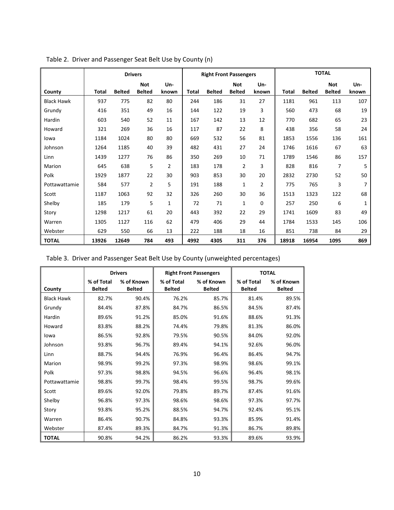|                   |              |               | <b>Drivers</b>              |              |              |               | <b>Right Front Passengers</b> |              |       |               | <b>TOTAL</b>                |              |
|-------------------|--------------|---------------|-----------------------------|--------------|--------------|---------------|-------------------------------|--------------|-------|---------------|-----------------------------|--------------|
| County            | <b>Total</b> | <b>Belted</b> | <b>Not</b><br><b>Belted</b> | Un-<br>known | <b>Total</b> | <b>Belted</b> | <b>Not</b><br><b>Belted</b>   | Un-<br>known | Total | <b>Belted</b> | <b>Not</b><br><b>Belted</b> | Un-<br>known |
| <b>Black Hawk</b> | 937          | 775           | 82                          | 80           | 244          | 186           | 31                            | 27           | 1181  | 961           | 113                         | 107          |
| Grundy            | 416          | 351           | 49                          | 16           | 144          | 122           | 19                            | 3            | 560   | 473           | 68                          | 19           |
| Hardin            | 603          | 540           | 52                          | 11           | 167          | 142           | 13                            | 12           | 770   | 682           | 65                          | 23           |
| Howard            | 321          | 269           | 36                          | 16           | 117          | 87            | 22                            | 8            | 438   | 356           | 58                          | 24           |
| lowa              | 1184         | 1024          | 80                          | 80           | 669          | 532           | 56                            | 81           | 1853  | 1556          | 136                         | 161          |
| Johnson           | 1264         | 1185          | 40                          | 39           | 482          | 431           | 27                            | 24           | 1746  | 1616          | 67                          | 63           |
| Linn              | 1439         | 1277          | 76                          | 86           | 350          | 269           | 10                            | 71           | 1789  | 1546          | 86                          | 157          |
| Marion            | 645          | 638           | 5                           | 2            | 183          | 178           | 2                             | 3            | 828   | 816           | $\overline{7}$              | 5            |
| Polk              | 1929         | 1877          | 22                          | 30           | 903          | 853           | 30                            | 20           | 2832  | 2730          | 52                          | 50           |
| Pottawattamie     | 584          | 577           | 2                           | 5            | 191          | 188           | 1                             | 2            | 775   | 765           | 3                           | 7            |
| Scott             | 1187         | 1063          | 92                          | 32           | 326          | 260           | 30                            | 36           | 1513  | 1323          | 122                         | 68           |
| Shelby            | 185          | 179           | 5                           | 1            | 72           | 71            | 1                             | 0            | 257   | 250           | 6                           | 1            |
| Story             | 1298         | 1217          | 61                          | 20           | 443          | 392           | 22                            | 29           | 1741  | 1609          | 83                          | 49           |
| Warren            | 1305         | 1127          | 116                         | 62           | 479          | 406           | 29                            | 44           | 1784  | 1533          | 145                         | 106          |
| Webster           | 629          | 550           | 66                          | 13           | 222          | 188           | 18                            | 16           | 851   | 738           | 84                          | 29           |
| <b>TOTAL</b>      | 13926        | 12649         | 784                         | 493          | 4992         | 4305          | 311                           | 376          | 18918 | 16954         | 1095                        | 869          |

Table 2. Driver and Passenger Seat Belt Use by County (n)

| Table 3. Driver and Passenger Seat Belt Use by County (unweighted percentages) |
|--------------------------------------------------------------------------------|
|--------------------------------------------------------------------------------|

|                   |                             | <b>Drivers</b>              |                             | <b>Right Front Passengers</b> |                             | <b>TOTAL</b>                |
|-------------------|-----------------------------|-----------------------------|-----------------------------|-------------------------------|-----------------------------|-----------------------------|
| County            | % of Total<br><b>Belted</b> | % of Known<br><b>Belted</b> | % of Total<br><b>Belted</b> | % of Known<br><b>Belted</b>   | % of Total<br><b>Belted</b> | % of Known<br><b>Belted</b> |
| <b>Black Hawk</b> | 82.7%                       | 90.4%                       | 76.2%                       | 85.7%                         | 81.4%                       | 89.5%                       |
| Grundy            | 84.4%                       | 87.8%                       | 84.7%                       | 86.5%                         | 84.5%                       | 87.4%                       |
| Hardin            | 89.6%                       | 91.2%                       | 85.0%                       | 91.6%                         | 88.6%                       | 91.3%                       |
| Howard            | 83.8%                       | 88.2%                       | 74.4%                       | 79.8%                         | 81.3%                       | 86.0%                       |
| lowa              | 86.5%                       | 92.8%                       | 79.5%                       | 90.5%                         | 84.0%                       | 92.0%                       |
| Johnson           | 93.8%                       | 96.7%                       | 89.4%                       | 94.1%                         | 92.6%                       | 96.0%                       |
| Linn              | 88.7%                       | 94.4%                       | 76.9%                       | 96.4%                         | 86.4%                       | 94.7%                       |
| Marion            | 98.9%                       | 99.2%                       | 97.3%                       | 98.9%                         | 98.6%                       | 99.1%                       |
| Polk              | 97.3%                       | 98.8%                       | 94.5%                       | 96.6%                         | 96.4%                       | 98.1%                       |
| Pottawattamie     | 98.8%                       | 99.7%                       | 98.4%                       | 99.5%                         | 98.7%                       | 99.6%                       |
| Scott             | 89.6%                       | 92.0%                       | 79.8%                       | 89.7%                         | 87.4%                       | 91.6%                       |
| Shelby            | 96.8%                       | 97.3%                       | 98.6%                       | 98.6%                         | 97.3%                       | 97.7%                       |
| Story             | 93.8%                       | 95.2%                       | 88.5%                       | 94.7%                         | 92.4%                       | 95.1%                       |
| Warren            | 86.4%                       | 90.7%                       | 84.8%                       | 93.3%                         | 85.9%                       | 91.4%                       |
| Webster           | 87.4%                       | 89.3%                       | 84.7%                       | 91.3%                         | 86.7%                       | 89.8%                       |
| <b>TOTAL</b>      | 90.8%                       | 94.2%                       | 86.2%                       | 93.3%                         | 89.6%                       | 93.9%                       |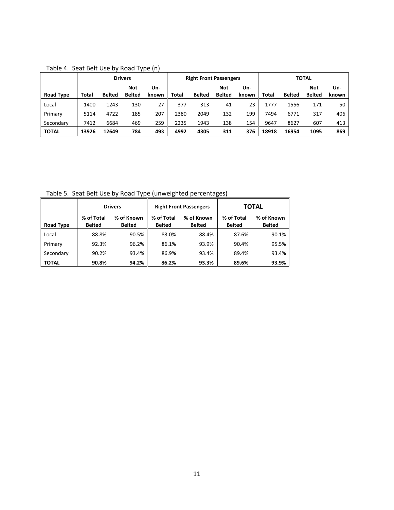|                  |       |               | <b>Drivers</b> |       |       | <b>Right Front Passengers</b> |               |       |       |               | <b>TOTAL</b>  |       |
|------------------|-------|---------------|----------------|-------|-------|-------------------------------|---------------|-------|-------|---------------|---------------|-------|
|                  |       |               | Not            | Un-   |       |                               | <b>Not</b>    | Un-   |       |               | Not           | Un-   |
| <b>Road Type</b> | Total | <b>Belted</b> | <b>Belted</b>  | known | Total | <b>Belted</b>                 | <b>Belted</b> | known | Total | <b>Belted</b> | <b>Belted</b> | known |
| Local            | 1400  | 1243          | 130            | 27    | 377   | 313                           | 41            | 23    | 1777  | 1556          | 171           | 50    |
| Primary          | 5114  | 4722          | 185            | 207   | 2380  | 2049                          | 132           | 199   | 7494  | 6771          | 317           | 406   |
| Secondary        | 7412  | 6684          | 469            | 259   | 2235  | 1943                          | 138           | 154   | 9647  | 8627          | 607           | 413   |
| <b>TOTAL</b>     | 13926 | 12649         | 784            | 493   | 4992  | 4305                          | 311           | 376   | 18918 | 16954         | 1095          | 869   |

Table 4. Seat Belt Use by Road Type (n)

Table 5. Seat Belt Use by Road Type (unweighted percentages)

|                  |                             | <b>Drivers</b>              |                             | <b>Right Front Passengers</b> |                             | <b>TOTAL</b>                |
|------------------|-----------------------------|-----------------------------|-----------------------------|-------------------------------|-----------------------------|-----------------------------|
| <b>Road Type</b> | % of Total<br><b>Belted</b> | % of Known<br><b>Belted</b> | % of Total<br><b>Belted</b> | % of Known<br><b>Belted</b>   | % of Total<br><b>Belted</b> | % of Known<br><b>Belted</b> |
| Local            | 88.8%                       | 90.5%                       | 83.0%                       | 88.4%                         | 87.6%                       | 90.1%                       |
| Primary          | 92.3%                       | 96.2%                       | 86.1%                       | 93.9%                         | 90.4%                       | 95.5%                       |
| Secondary        | 90.2%                       | 93.4%                       | 86.9%                       | 93.4%                         | 89.4%                       | 93.4%                       |
| <b>TOTAL</b>     | 90.8%                       | 94.2%                       | 86.2%                       | 93.3%                         | 89.6%                       | 93.9%                       |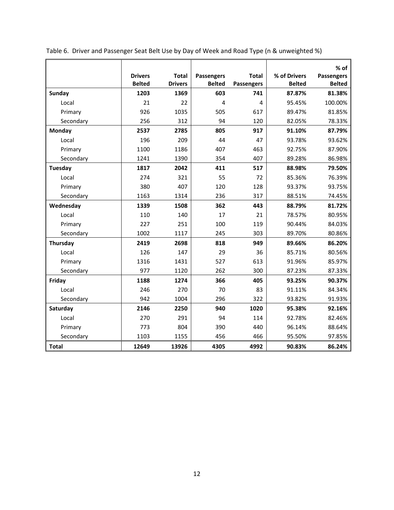|              |                |                |                   |                   |               | $%$ of            |
|--------------|----------------|----------------|-------------------|-------------------|---------------|-------------------|
|              | <b>Drivers</b> | <b>Total</b>   | <b>Passengers</b> | <b>Total</b>      | % of Drivers  | <b>Passengers</b> |
|              | <b>Belted</b>  | <b>Drivers</b> | <b>Belted</b>     | <b>Passengers</b> | <b>Belted</b> | <b>Belted</b>     |
| Sunday       | 1203           | 1369           | 603               | 741               | 87.87%        | 81.38%            |
| Local        | 21             | 22             | 4                 | 4                 | 95.45%        | 100.00%           |
| Primary      | 926            | 1035           | 505               | 617               | 89.47%        | 81.85%            |
| Secondary    | 256            | 312            | 94                | 120               | 82.05%        | 78.33%            |
| Monday       | 2537           | 2785           | 805               | 917               | 91.10%        | 87.79%            |
| Local        | 196            | 209            | 44                | 47                | 93.78%        | 93.62%            |
| Primary      | 1100           | 1186           | 407               | 463               | 92.75%        | 87.90%            |
| Secondary    | 1241           | 1390           | 354               | 407               | 89.28%        | 86.98%            |
| Tuesday      | 1817           | 2042           | 411               | 517               | 88.98%        | 79.50%            |
| Local        | 274            | 321            | 55                | 72                | 85.36%        | 76.39%            |
| Primary      | 380            | 407            | 120               | 128               | 93.37%        | 93.75%            |
| Secondary    | 1163           | 1314           | 236               | 317               | 88.51%        | 74.45%            |
| Wednesday    | 1339           | 1508           | 362               | 443               | 88.79%        | 81.72%            |
| Local        | 110            | 140            | 17                | 21                | 78.57%        | 80.95%            |
| Primary      | 227            | 251            | 100               | 119               | 90.44%        | 84.03%            |
| Secondary    | 1002           | 1117           | 245               | 303               | 89.70%        | 80.86%            |
| Thursday     | 2419           | 2698           | 818               | 949               | 89.66%        | 86.20%            |
| Local        | 126            | 147            | 29                | 36                | 85.71%        | 80.56%            |
| Primary      | 1316           | 1431           | 527               | 613               | 91.96%        | 85.97%            |
| Secondary    | 977            | 1120           | 262               | 300               | 87.23%        | 87.33%            |
| Friday       | 1188           | 1274           | 366               | 405               | 93.25%        | 90.37%            |
| Local        | 246            | 270            | 70                | 83                | 91.11%        | 84.34%            |
| Secondary    | 942            | 1004           | 296               | 322               | 93.82%        | 91.93%            |
| Saturday     | 2146           | 2250           | 940               | 1020              | 95.38%        | 92.16%            |
| Local        | 270            | 291            | 94                | 114               | 92.78%        | 82.46%            |
| Primary      | 773            | 804            | 390               | 440               | 96.14%        | 88.64%            |
| Secondary    | 1103           | 1155           | 456               | 466               | 95.50%        | 97.85%            |
| <b>Total</b> | 12649          | 13926          | 4305              | 4992              | 90.83%        | 86.24%            |

Table 6. Driver and Passenger Seat Belt Use by Day of Week and Road Type (n & unweighted %)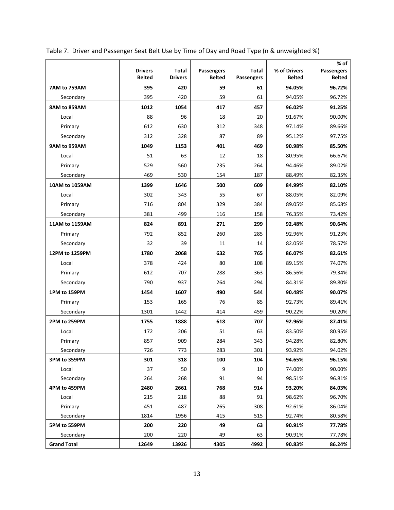|                    |                                 |                                |                             |                            |                               | % of                        |
|--------------------|---------------------------------|--------------------------------|-----------------------------|----------------------------|-------------------------------|-----------------------------|
|                    | <b>Drivers</b><br><b>Belted</b> | <b>Total</b><br><b>Drivers</b> | Passengers<br><b>Belted</b> | <b>Total</b><br>Passengers | % of Drivers<br><b>Belted</b> | Passengers<br><b>Belted</b> |
| 7AM to 759AM       | 395                             | 420                            | 59                          | 61                         | 94.05%                        | 96.72%                      |
| Secondary          | 395                             | 420                            | 59                          | 61                         | 94.05%                        | 96.72%                      |
| 8AM to 859AM       | 1012                            | 1054                           | 417                         | 457                        | 96.02%                        | 91.25%                      |
| Local              | 88                              | 96                             | 18                          | 20                         | 91.67%                        | 90.00%                      |
| Primary            | 612                             | 630                            | 312                         | 348                        | 97.14%                        | 89.66%                      |
| Secondary          | 312                             | 328                            | 87                          | 89                         | 95.12%                        | 97.75%                      |
| 9AM to 959AM       | 1049                            | 1153                           | 401                         | 469                        | 90.98%                        | 85.50%                      |
| Local              | 51                              | 63                             | 12                          | 18                         | 80.95%                        | 66.67%                      |
| Primary            | 529                             | 560                            | 235                         | 264                        | 94.46%                        | 89.02%                      |
| Secondary          | 469                             | 530                            | 154                         | 187                        | 88.49%                        | 82.35%                      |
| 10AM to 1059AM     | 1399                            | 1646                           | 500                         | 609                        | 84.99%                        | 82.10%                      |
| Local              | 302                             | 343                            | 55                          | 67                         | 88.05%                        | 82.09%                      |
| Primary            | 716                             | 804                            | 329                         | 384                        | 89.05%                        | 85.68%                      |
| Secondary          | 381                             | 499                            | 116                         | 158                        | 76.35%                        | 73.42%                      |
| 11AM to 1159AM     | 824                             | 891                            | 271                         | 299                        | 92.48%                        | 90.64%                      |
| Primary            | 792                             | 852                            | 260                         | 285                        | 92.96%                        | 91.23%                      |
| Secondary          | 32                              | 39                             | 11                          | 14                         | 82.05%                        | 78.57%                      |
| 12PM to 1259PM     | 1780                            | 2068                           | 632                         | 765                        | 86.07%                        | 82.61%                      |
| Local              | 378                             | 424                            | 80                          | 108                        | 89.15%                        | 74.07%                      |
| Primary            | 612                             | 707                            | 288                         | 363                        | 86.56%                        | 79.34%                      |
| Secondary          | 790                             | 937                            | 264                         | 294                        | 84.31%                        | 89.80%                      |
| 1PM to 159PM       | 1454                            | 1607                           | 490                         | 544                        | 90.48%                        | 90.07%                      |
| Primary            | 153                             | 165                            | 76                          | 85                         | 92.73%                        | 89.41%                      |
| Secondary          | 1301                            | 1442                           | 414                         | 459                        | 90.22%                        | 90.20%                      |
| 2PM to 259PM       | 1755                            | 1888                           | 618                         | 707                        | 92.96%                        | 87.41%                      |
| Local              | 172                             | 206                            | 51                          | 63                         | 83.50%                        | 80.95%                      |
| Primary            | 857                             | 909                            | 284                         | 343                        | 94.28%                        | 82.80%                      |
| Secondary          | 726                             | 773                            | 283                         | 301                        | 93.92%                        | 94.02%                      |
| 3PM to 359PM       | 301                             | 318                            | 100                         | 104                        | 94.65%                        | 96.15%                      |
| Local              | 37                              | 50                             | 9                           | 10                         | 74.00%                        | 90.00%                      |
| Secondary          | 264                             | 268                            | 91                          | 94                         | 98.51%                        | 96.81%                      |
| 4PM to 459PM       | 2480                            | 2661                           | 768                         | 914                        | 93.20%                        | 84.03%                      |
| Local              | 215                             | 218                            | 88                          | 91                         | 98.62%                        | 96.70%                      |
| Primary            | 451                             | 487                            | 265                         | 308                        | 92.61%                        | 86.04%                      |
| Secondary          | 1814                            | 1956                           | 415                         | 515                        | 92.74%                        | 80.58%                      |
| 5PM to 559PM       | 200                             | 220                            | 49                          | 63                         | 90.91%                        | 77.78%                      |
| Secondary          | 200                             | 220                            | 49                          | 63                         | 90.91%                        | 77.78%                      |
| <b>Grand Total</b> | 12649                           | 13926                          | 4305                        | 4992                       | 90.83%                        | 86.24%                      |

Table 7. Driver and Passenger Seat Belt Use by Time of Day and Road Type (n & unweighted %)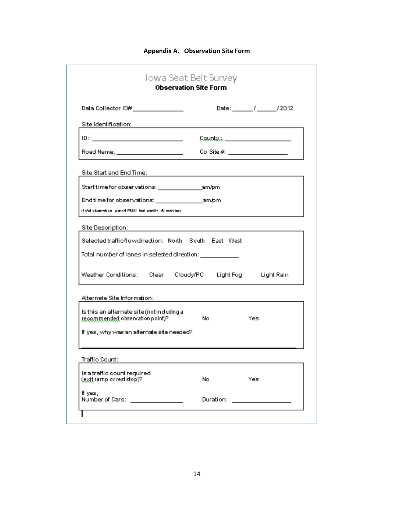### **Appendix A. Observation Site Form**

|                                                                                                                       | <b>Observation Site Form</b> |                   |
|-----------------------------------------------------------------------------------------------------------------------|------------------------------|-------------------|
| Data Collector ID# ________________                                                                                   |                              | Date: // // /2012 |
| Site Identification:                                                                                                  |                              |                   |
| ID: ___ __________________________                                                                                    | County: __________________   |                   |
| Road Name: _____________________                                                                                      | Co Site #: $\qquad \qquad$   |                   |
| Site Start and End Time:                                                                                              |                              |                   |
|                                                                                                                       |                              |                   |
| Endtime for observations: ___________________am.bm                                                                    |                              |                   |
| itetal ebaaristien, paned MUSI, last aastiv, di nanutan                                                               |                              |                   |
| Site Description:                                                                                                     |                              |                   |
| Selected traffic flow direction: North South East West                                                                |                              |                   |
|                                                                                                                       |                              |                   |
|                                                                                                                       |                              |                   |
| Total number of lanes in selected direction: ____________<br>Weather Conditions: Clear Cloudy/PC Light Fog Light Rain |                              |                   |
|                                                                                                                       |                              |                   |
| Alternate Site Information:<br>Is this an alternate site (not induding a<br>recommended observation point)?           | No.                          | Yes               |
| If yes, why was an alternate site needed?                                                                             |                              |                   |
| Traffic Count:                                                                                                        |                              |                   |
| Is a traffic count required<br>(exit ramp or rest stop)?                                                              | No.                          | Yes               |